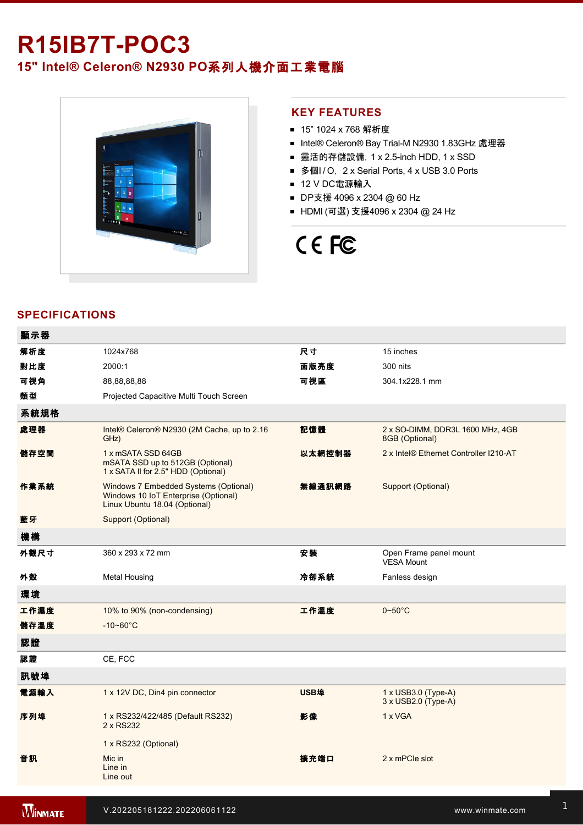# **R15IB7T-POC3**

## **15" Intel® Celeron® N2930 PO**系列人機介面工業電腦



#### **KEY FEATURES**

- 15" 1024 x 768 解析度
- Intel® Celeron® Bay Trial-M N2930 1.83GHz 處理器
- 靈活的存儲設備, 1 x 2.5-inch HDD, 1 x SSD
- 多個I/O, 2 x Serial Ports, 4 x USB 3.0 Ports
- 12 V DC電源輸入
- DP支援 4096 x 2304 @ 60 Hz
- HDMI (可選) 支援4096 x 2304 @ 24 Hz

# CE FC

### **SPECIFICATIONS**

| 顯示器  |                                                                                                                |             |                                                    |
|------|----------------------------------------------------------------------------------------------------------------|-------------|----------------------------------------------------|
| 解析度  | 1024x768                                                                                                       | 尺寸          | 15 inches                                          |
| 對比度  | 2000:1                                                                                                         | 面版亮度        | 300 nits                                           |
| 可視角  | 88,88,88,88                                                                                                    | 可視區         | 304.1x228.1 mm                                     |
| 類型   | Projected Capacitive Multi Touch Screen                                                                        |             |                                                    |
| 系統規格 |                                                                                                                |             |                                                    |
| 處理器  | Intel® Celeron® N2930 (2M Cache, up to 2.16<br>GHz)                                                            | 記憶體         | 2 x SO-DIMM, DDR3L 1600 MHz, 4GB<br>8GB (Optional) |
| 儲存空間 | 1 x mSATA SSD 64GB<br>mSATA SSD up to 512GB (Optional)<br>1 x SATA II for 2.5" HDD (Optional)                  | 以太網控制器      | 2 x Intel® Ethernet Controller I210-AT             |
| 作業系統 | Windows 7 Embedded Systems (Optional)<br>Windows 10 IoT Enterprise (Optional)<br>Linux Ubuntu 18.04 (Optional) | 無線通訊網路      | Support (Optional)                                 |
| 藍牙   | Support (Optional)                                                                                             |             |                                                    |
| 機構   |                                                                                                                |             |                                                    |
| 外觀尺寸 | 360 x 293 x 72 mm                                                                                              | 安裝          | Open Frame panel mount<br><b>VESA Mount</b>        |
| 外殼   | <b>Metal Housing</b>                                                                                           | 冷卻系統        | Fanless design                                     |
| 環境   |                                                                                                                |             |                                                    |
| 工作濕度 | 10% to 90% (non-condensing)                                                                                    | 工作溫度        | $0 - 50$ °C                                        |
| 儲存溫度 | $-10 - 60^{\circ}C$                                                                                            |             |                                                    |
| 認證   |                                                                                                                |             |                                                    |
| 認證   | CE, FCC                                                                                                        |             |                                                    |
| 訊號埠  |                                                                                                                |             |                                                    |
| 電源輸入 | 1 x 12V DC, Din4 pin connector                                                                                 | <b>USB埠</b> | $1 \times$ USB3.0 (Type-A)<br>3 x USB2.0 (Type-A)  |
| 序列埠  | 1 x RS232/422/485 (Default RS232)<br>2 x RS232                                                                 | 影像          | 1 x VGA                                            |
|      | 1 x RS232 (Optional)                                                                                           |             |                                                    |
| 音訊   | Mic in<br>Line in<br>Line out                                                                                  | 擴充端口        | 2 x mPCle slot                                     |
|      |                                                                                                                |             |                                                    |